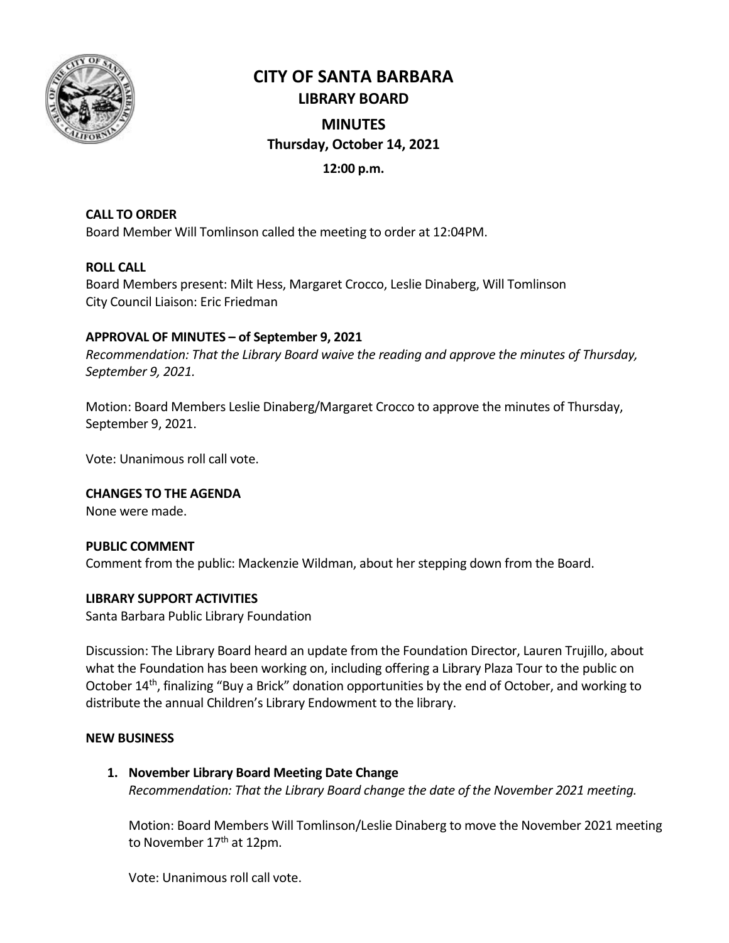

# **CITY OF SANTA BARBARA LIBRARY BOARD**

# **MINUTES Thursday, October 14, 2021**

## **12:00 p.m.**

# **CALL TO ORDER**

Board Member Will Tomlinson called the meeting to order at 12:04PM.

## **ROLL CALL**

Board Members present: Milt Hess, Margaret Crocco, Leslie Dinaberg, Will Tomlinson City Council Liaison: Eric Friedman

### **APPROVAL OF MINUTES – of September 9, 2021**

*Recommendation: That the Library Board waive the reading and approve the minutes of Thursday, September 9, 2021.*

Motion: Board Members Leslie Dinaberg/Margaret Crocco to approve the minutes of Thursday, September 9, 2021.

Vote: Unanimous roll call vote.

**CHANGES TO THE AGENDA** None were made.

#### **PUBLIC COMMENT**

Comment from the public: Mackenzie Wildman, about her stepping down from the Board.

#### **LIBRARY SUPPORT ACTIVITIES**

Santa Barbara Public Library Foundation

Discussion: The Library Board heard an update from the Foundation Director, Lauren Trujillo, about what the Foundation has been working on, including offering a Library Plaza Tour to the public on October 14<sup>th</sup>, finalizing "Buy a Brick" donation opportunities by the end of October, and working to distribute the annual Children's Library Endowment to the library.

#### **NEW BUSINESS**

**1. November Library Board Meeting Date Change** *Recommendation: That the Library Board change the date of the November 2021 meeting.* 

Motion: Board Members Will Tomlinson/Leslie Dinaberg to move the November 2021 meeting to November 17<sup>th</sup> at 12pm.

Vote: Unanimous roll call vote.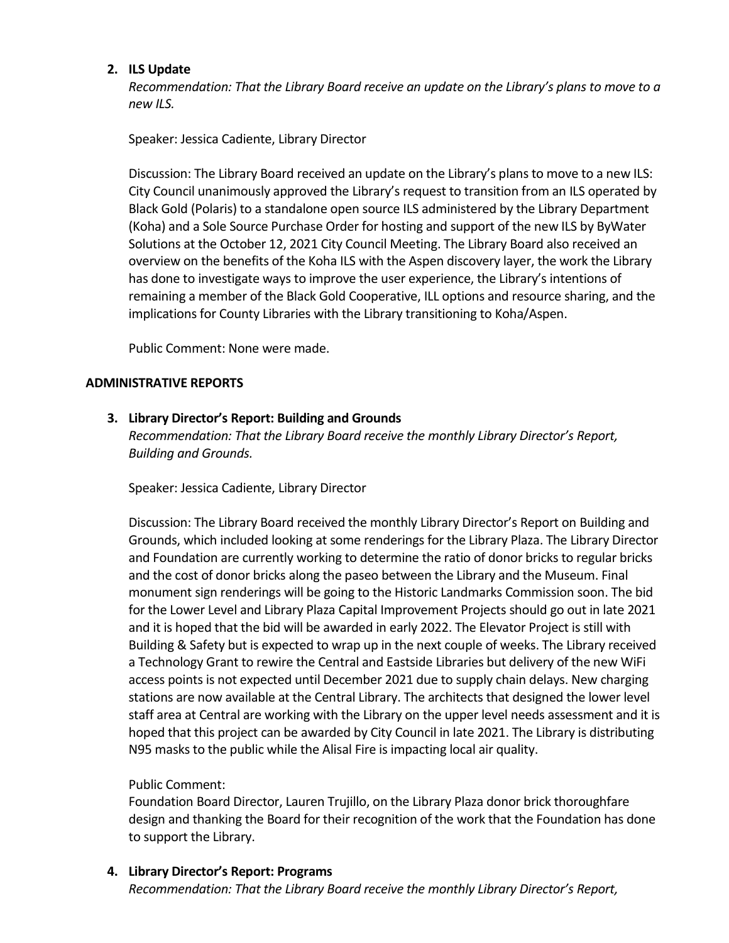#### **2. ILS Update**

*Recommendation: That the Library Board receive an update on the Library's plans to move to a new ILS.* 

Speaker: Jessica Cadiente, Library Director

Discussion: The Library Board received an update on the Library's plans to move to a new ILS: City Council unanimously approved the Library's request to transition from an ILS operated by Black Gold (Polaris) to a standalone open source ILS administered by the Library Department (Koha) and a Sole Source Purchase Order for hosting and support of the new ILS by ByWater Solutions at the October 12, 2021 City Council Meeting. The Library Board also received an overview on the benefits of the Koha ILS with the Aspen discovery layer, the work the Library has done to investigate ways to improve the user experience, the Library's intentions of remaining a member of the Black Gold Cooperative, ILL options and resource sharing, and the implications for County Libraries with the Library transitioning to Koha/Aspen.

Public Comment: None were made.

#### **ADMINISTRATIVE REPORTS**

#### **3. Library Director's Report: Building and Grounds**

*Recommendation: That the Library Board receive the monthly Library Director's Report, Building and Grounds.*

Speaker: Jessica Cadiente, Library Director

Discussion: The Library Board received the monthly Library Director's Report on Building and Grounds, which included looking at some renderings for the Library Plaza. The Library Director and Foundation are currently working to determine the ratio of donor bricks to regular bricks and the cost of donor bricks along the paseo between the Library and the Museum. Final monument sign renderings will be going to the Historic Landmarks Commission soon. The bid for the Lower Level and Library Plaza Capital Improvement Projects should go out in late 2021 and it is hoped that the bid will be awarded in early 2022. The Elevator Project is still with Building & Safety but is expected to wrap up in the next couple of weeks. The Library received a Technology Grant to rewire the Central and Eastside Libraries but delivery of the new WiFi access points is not expected until December 2021 due to supply chain delays. New charging stations are now available at the Central Library. The architects that designed the lower level staff area at Central are working with the Library on the upper level needs assessment and it is hoped that this project can be awarded by City Council in late 2021. The Library is distributing N95 masks to the public while the Alisal Fire is impacting local air quality.

#### Public Comment:

Foundation Board Director, Lauren Trujillo, on the Library Plaza donor brick thoroughfare design and thanking the Board for their recognition of the work that the Foundation has done to support the Library.

## **4. Library Director's Report: Programs**

*Recommendation: That the Library Board receive the monthly Library Director's Report,*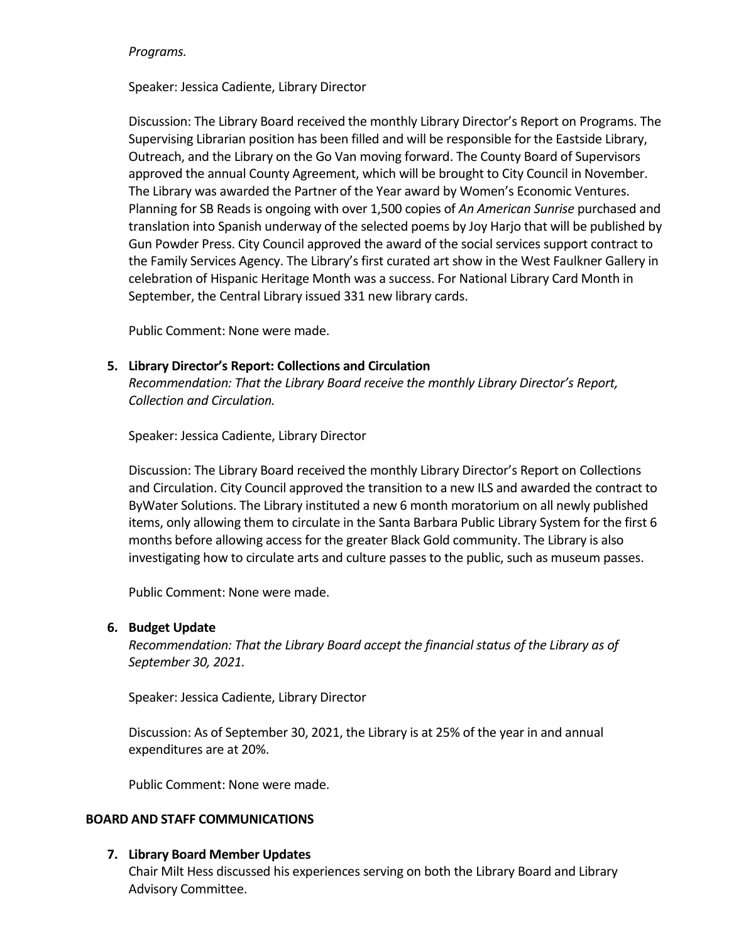#### *Programs.*

Speaker: Jessica Cadiente, Library Director

Discussion: The Library Board received the monthly Library Director's Report on Programs. The Supervising Librarian position has been filled and will be responsible for the Eastside Library, Outreach, and the Library on the Go Van moving forward. The County Board of Supervisors approved the annual County Agreement, which will be brought to City Council in November. The Library was awarded the Partner of the Year award by Women's Economic Ventures. Planning for SB Reads is ongoing with over 1,500 copies of *An American Sunrise* purchased and translation into Spanish underway of the selected poems by Joy Harjo that will be published by Gun Powder Press. City Council approved the award of the social services support contract to the Family Services Agency. The Library's first curated art show in the West Faulkner Gallery in celebration of Hispanic Heritage Month was a success. For National Library Card Month in September, the Central Library issued 331 new library cards.

Public Comment: None were made.

### **5. Library Director's Report: Collections and Circulation**

*Recommendation: That the Library Board receive the monthly Library Director's Report, Collection and Circulation.*

Speaker: Jessica Cadiente, Library Director

Discussion: The Library Board received the monthly Library Director's Report on Collections and Circulation. City Council approved the transition to a new ILS and awarded the contract to ByWater Solutions. The Library instituted a new 6 month moratorium on all newly published items, only allowing them to circulate in the Santa Barbara Public Library System for the first 6 months before allowing access for the greater Black Gold community. The Library is also investigating how to circulate arts and culture passes to the public, such as museum passes.

Public Comment: None were made.

#### **6. Budget Update**

*Recommendation: That the Library Board accept the financial status of the Library as of September 30, 2021.* 

Speaker: Jessica Cadiente, Library Director

Discussion: As of September 30, 2021, the Library is at 25% of the year in and annual expenditures are at 20%.

Public Comment: None were made.

#### **BOARD AND STAFF COMMUNICATIONS**

#### **7. Library Board Member Updates**

Chair Milt Hess discussed his experiences serving on both the Library Board and Library Advisory Committee.